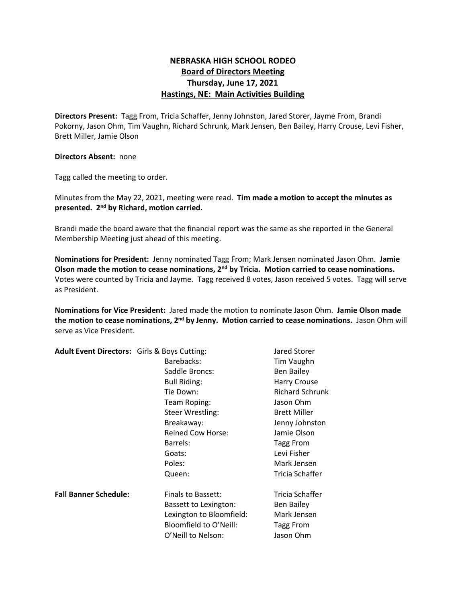## **NEBRASKA HIGH SCHOOL RODEO Board of Directors Meeting Thursday, June 17, 2021 Hastings, NE: Main Activities Building**

**Directors Present:** Tagg From, Tricia Schaffer, Jenny Johnston, Jared Storer, Jayme From, Brandi Pokorny, Jason Ohm, Tim Vaughn, Richard Schrunk, Mark Jensen, Ben Bailey, Harry Crouse, Levi Fisher, Brett Miller, Jamie Olson

## **Directors Absent:** none

Tagg called the meeting to order.

Minutes from the May 22, 2021, meeting were read. **Tim made a motion to accept the minutes as presented. 2nd by Richard, motion carried.**

Brandi made the board aware that the financial report was the same as she reported in the General Membership Meeting just ahead of this meeting.

**Nominations for President:** Jenny nominated Tagg From; Mark Jensen nominated Jason Ohm. **Jamie Olson made the motion to cease nominations, 2nd by Tricia. Motion carried to cease nominations.** Votes were counted by Tricia and Jayme. Tagg received 8 votes, Jason received 5 votes. Tagg will serve as President.

**Nominations for Vice President:** Jared made the motion to nominate Jason Ohm. **Jamie Olson made the motion to cease nominations, 2<sup>nd</sup> by Jenny. Motion carried to cease nominations. Jason Ohm will** serve as Vice President.

| Adult Event Directors: Girls & Boys Cutting: |                          | Jared Storer           |
|----------------------------------------------|--------------------------|------------------------|
|                                              | Barebacks:               | Tim Vaughn             |
|                                              | Saddle Broncs:           | <b>Ben Bailey</b>      |
|                                              | <b>Bull Riding:</b>      | <b>Harry Crouse</b>    |
|                                              | Tie Down:                | <b>Richard Schrunk</b> |
|                                              | Team Roping:             | Jason Ohm              |
|                                              | <b>Steer Wrestling:</b>  | <b>Brett Miller</b>    |
|                                              | Breakaway:               | Jenny Johnston         |
|                                              | <b>Reined Cow Horse:</b> | Jamie Olson            |
|                                              | Barrels:                 | Tagg From              |
|                                              | Goats:                   | Levi Fisher            |
|                                              | Poles:                   | Mark Jensen            |
|                                              | Queen:                   | Tricia Schaffer        |
| <b>Fall Banner Schedule:</b>                 | Finals to Bassett:       | Tricia Schaffer        |
|                                              | Bassett to Lexington:    | <b>Ben Bailey</b>      |
|                                              | Lexington to Bloomfield: | Mark Jensen            |
|                                              | Bloomfield to O'Neill:   | Tagg From              |
|                                              | O'Neill to Nelson:       | Jason Ohm              |
|                                              |                          |                        |